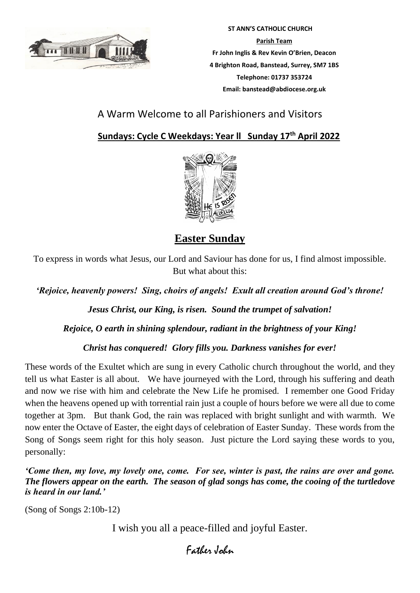

 **ST ANN'S CATHOLIC CHURCH Parish Team Fr John Inglis & Rev Kevin O'Brien, Deacon 4 Brighton Road, Banstead, Surrey, SM7 1BS Telephone: 01737 353724 Email: banstead@abdiocese.org.uk**

## A Warm Welcome to all Parishioners and Visitors

 **Sundays: Cycle C Weekdays: Year ll Sunday 17th April 2022**



**Easter Sunday**

To express in words what Jesus, our Lord and Saviour has done for us, I find almost impossible. But what about this:

*'Rejoice, heavenly powers! Sing, choirs of angels! Exult all creation around God's throne!*

*Jesus Christ, our King, is risen. Sound the trumpet of salvation!*

*Rejoice, O earth in shining splendour, radiant in the brightness of your King!*

*Christ has conquered! Glory fills you. Darkness vanishes for ever!*

These words of the Exultet which are sung in every Catholic church throughout the world, and they tell us what Easter is all about. We have journeyed with the Lord, through his suffering and death and now we rise with him and celebrate the New Life he promised. I remember one Good Friday when the heavens opened up with torrential rain just a couple of hours before we were all due to come together at 3pm. But thank God, the rain was replaced with bright sunlight and with warmth. We now enter the Octave of Easter, the eight days of celebration of Easter Sunday. These words from the Song of Songs seem right for this holy season. Just picture the Lord saying these words to you, personally:

*'Come then, my love, my lovely one, come. For see, winter is past, the rains are over and gone. The flowers appear on the earth. The season of glad songs has come, the cooing of the turtledove is heard in our land.'* 

(Song of Songs 2:10b-12)

I wish you all a peace-filled and joyful Easter.

# Father John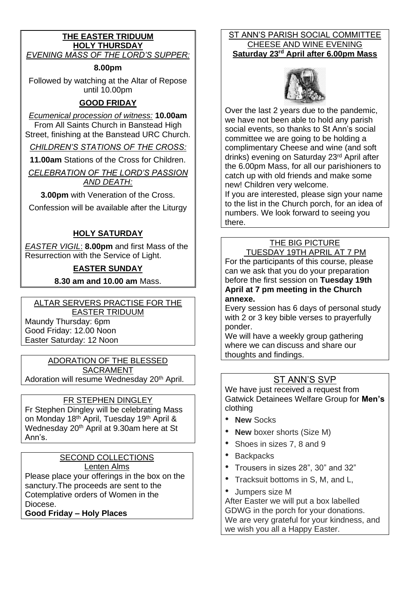### **THE EASTER TRIDUUM HOLY THURSDAY** *EVENING MASS OF THE LORD'S SUPPER:*

**8.00pm**

Followed by watching at the Altar of Repose until 10.00pm

## **GOOD FRIDAY**

*Ecumenical procession of witness:* **10.00am**

From All Saints Church in Banstead High Street, finishing at the Banstead URC Church.

*CHILDREN'S STATIONS OF THE CROSS:*

**11.00am** Stations of the Cross for Children.

*CELEBRATION OF THE LORD'S PASSION AND DEATH:*

**3.00pm** with Veneration of the Cross.

Confession will be available after the Liturgy

### **HOLY SATURDAY**

*EASTER VIGIL*: **8.00pm** and first Mass of the Resurrection with the Service of Light.

## **EASTER SUNDAY**

**8.30 am and 10.00 am** Mass.

#### ALTAR SERVERS PRACTISE FOR THE EASTER TRIDUUM

Maundy Thursday: 6pm Good Friday: 12.00 Noon

Easter Saturday: 12 Noon

ADORATION OF THE BLESSED SACRAMENT Adoration will resume Wednesday 20<sup>th</sup> April.

### FR STEPHEN DINGLEY

Fr Stephen Dingley will be celebrating Mass on Monday 18th April, Tuesday 19th April & Wednesday 20th April at 9.30am here at St Ann's.

### SECOND COLLECTIONS Lenten Alms

Please place your offerings in the box on the sanctury.The proceeds are sent to the Cotemplative orders of Women in the Diocese.

**Good Friday – Holy Places** 

### ST ANN'S PARISH SOCIAL COMMITTEE CHEESE AND WINE EVENING **Saturday 23rd April after 6.00pm Mass**



Over the last 2 years due to the pandemic, we have not been able to hold any parish social events, so thanks to St Ann's social committee we are going to be holding a complimentary Cheese and wine (and soft drinks) evening on Saturday 23rd April after the 6.00pm Mass, for all our parishioners to catch up with old friends and make some new! Children very welcome.

If you are interested, please sign your name to the list in the Church porch, for an idea of numbers. We look forward to seeing you there.

## THE BIG PICTURE

TUESDAY 19TH APRIL AT 7 PM For the participants of this course, please can we ask that you do your preparation before the first session on **Tuesday 19th April at 7 pm meeting in the Church annexe.**

Every session has 6 days of personal study with 2 or 3 key bible verses to prayerfully ponder.

We will have a weekly group gathering where we can discuss and share our thoughts and findings.

## ST ANN'S SVP

We have just received a request from Gatwick Detainees Welfare Group for **Men's** clothing

- **New** Socks
- **New** boxer shorts (Size M)
- Shoes in sizes 7, 8 and 9
- Backpacks
- Trousers in sizes 28", 30" and 32"
- Tracksuit bottoms in S, M, and L,
- Jumpers size M

After Easter we will put a box labelled GDWG in the porch for your donations. We are very grateful for your kindness, and we wish you all a Happy Easter.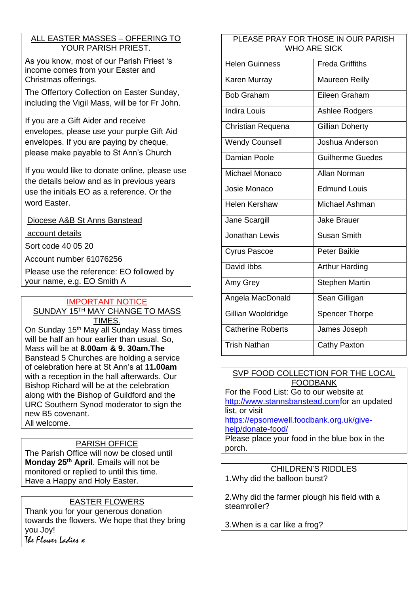### ALL EASTER MASSES – OFFERING TO YOUR PARISH PRIEST.

As you know, most of our Parish Priest 's income comes from your Easter and Christmas offerings.

The Offertory Collection on Easter Sunday, including the Vigil Mass, will be for Fr John.

If you are a Gift Aider and receive envelopes, please use your purple Gift Aid envelopes. If you are paying by cheque, please make payable to St Ann's Church

If you would like to donate online, please use the details below and as in previous years use the initials EO as a reference. Or the word Easter.

Diocese A&B St Anns Banstead

account details

Sort code 40 05 20

Account number 61076256

Please use the reference: EO followed by your name, e.g. EO Smith A

### IMPORTANT NOTICE SUNDAY 15TH MAY CHANGE TO MASS TIMES.

On Sunday 15<sup>th</sup> May all Sunday Mass times will be half an hour earlier than usual. So, Mass will be at **8.00am & 9. 30am.The** Banstead 5 Churches are holding a service of celebration here at St Ann's at **11.00am** with a reception in the hall afterwards. Our Bishop Richard will be at the celebration along with the Bishop of Guildford and the URC Southern Synod moderator to sign the new B5 covenant.

All welcome.

### PARISH OFFICE

The Parish Office will now be closed until **Monday 25th April**. Emails will not be monitored or replied to until this time. Have a Happy and Holy Easter.

### EASTER FLOWERS

Thank you for your generous donation towards the flowers. We hope that they bring you Joy! The Flower Ladies x

### PLEASE PRAY FOR THOSE IN OUR PARISH WHO ARE SICK

| <b>Helen Guinness</b>    | <b>Freda Griffiths</b>  |  |
|--------------------------|-------------------------|--|
| Karen Murray             | Maureen Reilly          |  |
| <b>Bob Graham</b>        | Eileen Graham           |  |
| <b>Indira Louis</b>      | Ashlee Rodgers          |  |
| Christian Requena        | Gillian Doherty         |  |
| <b>Wendy Counsell</b>    | Joshua Anderson         |  |
| Damian Poole             | <b>Guilherme Guedes</b> |  |
| Michael Monaco           | Allan Norman            |  |
| Josie Monaco             | <b>Edmund Louis</b>     |  |
| <b>Helen Kershaw</b>     | Michael Ashman          |  |
| Jane Scargill            | <b>Jake Brauer</b>      |  |
| Jonathan Lewis           | <b>Susan Smith</b>      |  |
| <b>Cyrus Pascoe</b>      | <b>Peter Baikie</b>     |  |
| David Ibbs               | <b>Arthur Harding</b>   |  |
| Amy Grey                 | <b>Stephen Martin</b>   |  |
| Angela MacDonald         | Sean Gilligan           |  |
| Gillian Wooldridge       | <b>Spencer Thorpe</b>   |  |
| <b>Catherine Roberts</b> | James Joseph            |  |
| <b>Trish Nathan</b>      | Cathy Paxton            |  |

### SVP FOOD COLLECTION FOR THE LOCAL FOODBANK

For the Food List: Go to our website at [http://www.stannsbanstead.comf](http://www.stannsbanstead.com/)or an updated list, or visit [https://epsomewell.foodbank.org.uk/give-](https://epsomewell.foodbank.org.uk/give-help/donate-food/)

[help/donate-food/](https://epsomewell.foodbank.org.uk/give-help/donate-food/) Please place your food in the blue box in the porch.

CHILDREN'S RIDDLES 1.Why did the balloon burst?

2.Why did the farmer plough his field with a steamroller?

3.When is a car like a frog?